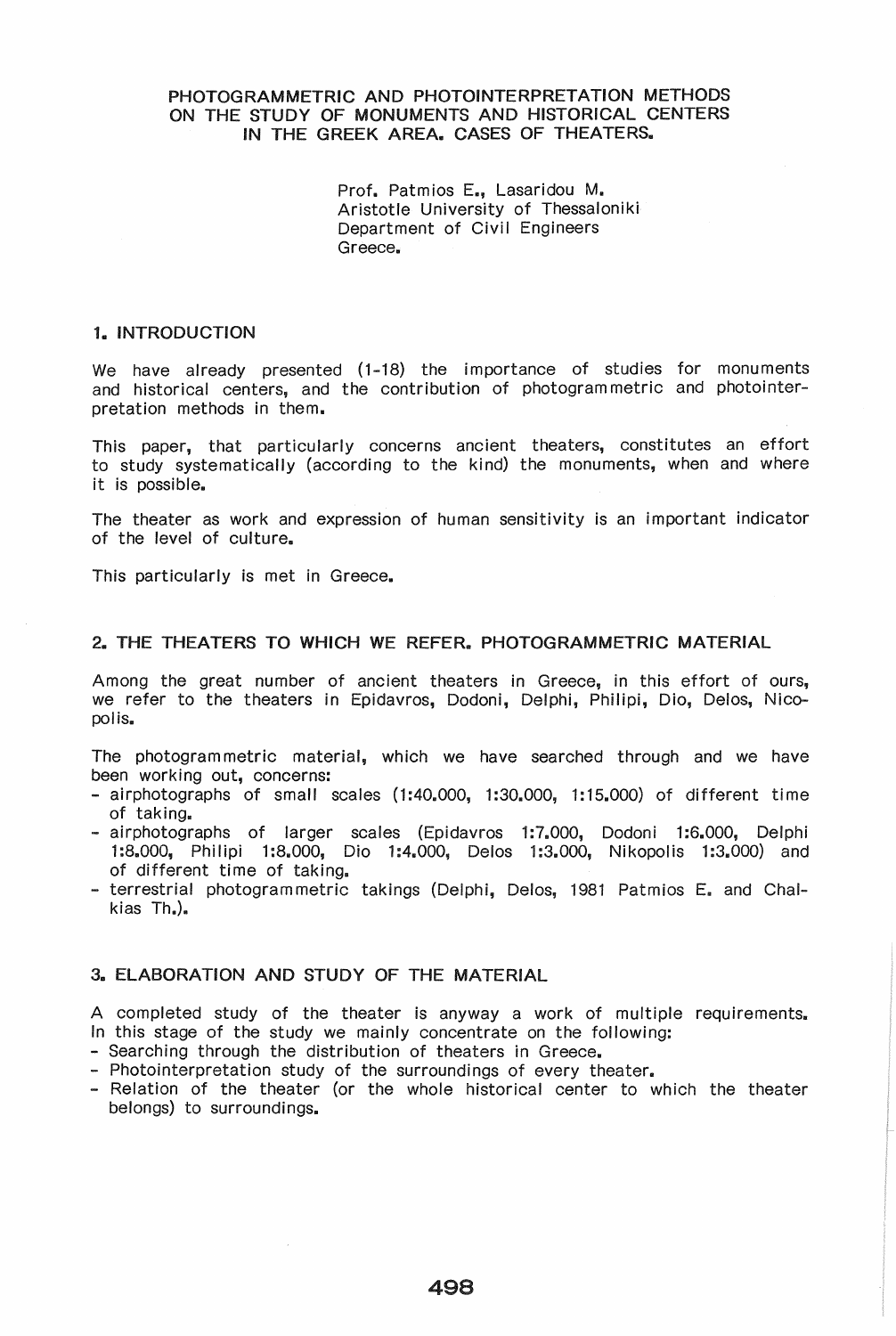# PHOTOGRAMMETRIC AND PHOTOINTERPRETATION METHODS ON THE STUDY OF MONUMENTS AND HISTORICAL CENTERS IN THE GREEK AREA. CASES OF THEATERS.

Prof. Patmios E., Lasaridou M. Aristotle University of Thessaloniki Department of Civil Engineers Greece.

### 1. INTRODUCTION

We have already presented (1-18) the importance of studies for monuments and historical centers, and the contribution of photogram metric and photointerpretation methods in them.

This paper, that particularly concerns ancient theaters, constitutes an effort to study systematically (according to the kind) the monuments, when and where it is possible.

The theater as work and expression of human sensitivity is an important indicator of the level of culture.

This particularly is met in Greece.

## 2. THE THEATERS TO WHICH WE REFER. PHOTOGRAMMETRIC MATERIAL

Among the great number of ancient theaters in Greece, in this effort of ours, we refer to the theaters in Epidavros, Dodoni, Delphi, Philipi, Dio, Delos, Nicopolis.

The photogram metric material, which we have searched through and we have been working out, concerns:

- airphotographs of small scales  $(1:40,000, 1:30,000, 1:15,000)$  of different time of taking.
- airphotographs of larger scales (Epidavros 1:7.000, Dodoni 1:6.000, Delphi 1:8.000, Philipi 1:8.000, Dio 1:4.000, Delos 1:3.000, Nikopolis 1:3.000) and of different time of taking.
- terrestrial photogrammetric takings (Delphi, Delos, 1981 Patmios E. and Chalkias  $Th.$

# 3. ELABORATION AND STUDY OF THE MATERIAL

A completed study of the theater is anyway a work of multiple requirements. In this stage of the study we mainly concentrate on the following:

- Searching through the distribution of theaters in Greece.
- Photointerpretation study of the surroundings of every theater.
- Relation of the theater (or the whole historical center to which the theater belongs) to surroundings.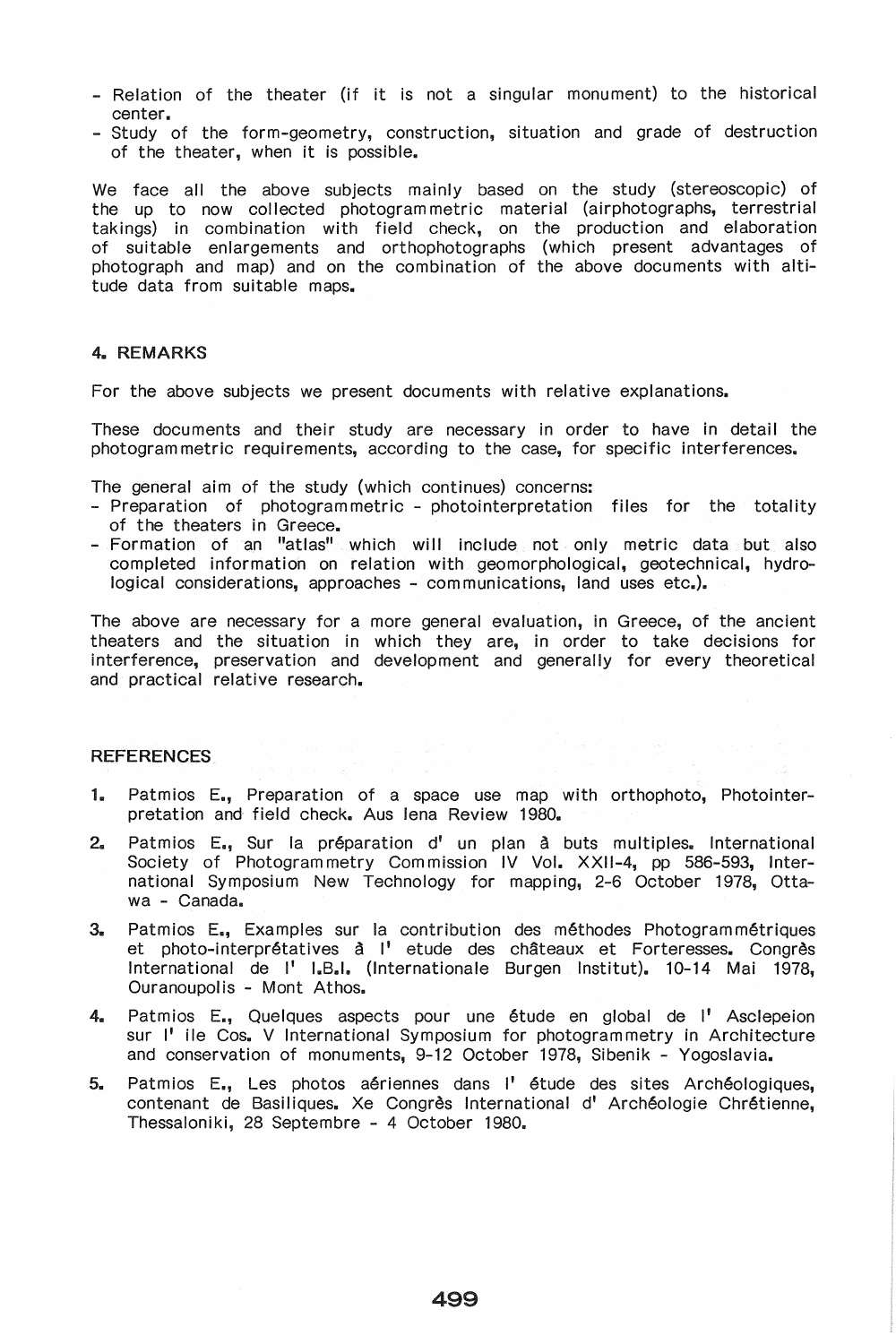- Relation of the theater (if it is not a singular monument) to the historical center ..
- Study of the form-geometry, construction, situation and grade of destruction of the theater, when it is possible.

We face all the above subjects mainly based on the study (stereoscopic) of the up to now collected photogram metric material (airphotographs, terrestrial takings) in combination with field check, on the production and elaboration of suitable enlargements and orthophotographs (which present advantages of photograph and map) and on the combination of the above documents with altitude data from suitable maps.

## 4. REMARKS

For the above subjects we present documents with relative explanations.

These documents and their study are necessary in order to have in detail the photogram metric requirements, according to the case, for specific interferences.

The general aim of the study (which continues) concerns:

- Preparation of photogrammetric photointerpretation files for the totality of the theaters in Greece.
- Formation of an "atlas" which will include not only metric data but also completed information on relation with geomorphological, geotechnical, hydrological considerations, approaches - communications, land uses etc.).

The above are necessary for a more general evaluation, in Greece, of the ancient theaters and the situation in which they are, in order to take decisions for interference, preservation and development and generally for every theoretical and practical relative research.

### REFERENCES

- 1. Patmios E., Preparation of a space use map with orthophoto, Photointerpretation and field check. Aus lena Review 1980.
- 2. Patmios E., Sur la préparation d' un plan à buts multiples. International Society of Photogram metry Com mission IV Vol. XXII-4, pp 586-593, International Symposium New Technology for mapping, 2-6 October 1978, Ottawa - Canada.
- 3. Patmios E., Examples sur la contribution des méthodes Photogram métriques et photo-interprétatives à l' etude des châteaux et Forteresses. Congrès International de I' I.B.I. (lnternationale Burgen Institut). 10-14 Mai 1978, Ouranoupolis - Mont Athos.
- 4. Patmios E., Quelques aspects pour une étude en global de l'Asclepeion sur I' ile Cos. V International Symposium for photogrammetry in Architecture and conservation of monuments, 9-12 October 1978, Sibenik - Yogoslavia.
- 5. Patmios E., Les photos aériennes dans l'étude des sites Archéologiques, contenant de Basiliques. Xe Congrès International d' Archéologie Chrétienne, Thessaloniki, 28 Septembre - 4 October 1980.